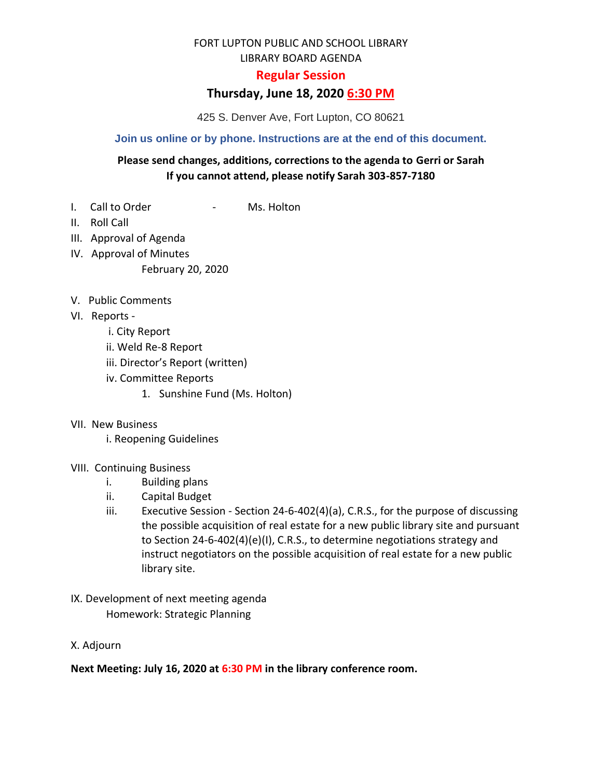# FORT LUPTON PUBLIC AND SCHOOL LIBRARY

LIBRARY BOARD AGENDA

### **Regular Session**

# **Thursday, June 18, 2020 6:30 PM**

425 S. Denver Ave, Fort Lupton, CO 80621

#### **Join us online or by phone. Instructions are at the end of this document.**

### **Please send changes, additions, corrections to the agenda to Gerri or Sarah If you cannot attend, please notify Sarah 303-857-7180**

- I. Call to Order The Call to Order
- II. Roll Call
- III. Approval of Agenda
- IV. Approval of Minutes

February 20, 2020

- V. Public Comments
- VI. Reports
	- i. City Report
	- ii. Weld Re-8 Report
	- iii. Director's Report (written)
	- iv. Committee Reports
		- 1. Sunshine Fund (Ms. Holton)
- VII. New Business

i. Reopening Guidelines

- VIII. Continuing Business
	- i. Building plans
	- ii. Capital Budget
	- iii. Executive Session Section 24-6-402(4)(a), C.R.S., for the purpose of discussing the possible acquisition of real estate for a new public library site and pursuant to Section 24-6-402(4)(e)(I), C.R.S., to determine negotiations strategy and instruct negotiators on the possible acquisition of real estate for a new public library site.
- IX. Development of next meeting agenda Homework: Strategic Planning
- X. Adjourn

**Next Meeting: July 16, 2020 at 6:30 PM in the library conference room.**